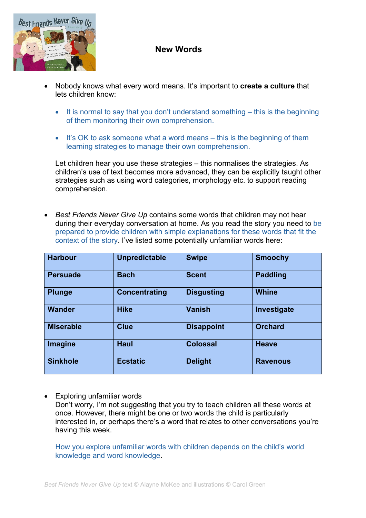

## **New Words**

- Nobody knows what every word means. It's important to **create a culture** that lets children know:
	- It is normal to say that you don't understand something this is the beginning of them monitoring their own comprehension.
	- It's OK to ask someone what a word means this is the beginning of them learning strategies to manage their own comprehension.

Let children hear you use these strategies – this normalises the strategies. As children's use of text becomes more advanced, they can be explicitly taught other strategies such as using word categories, morphology etc. to support reading comprehension.

• *Best Friends Never Give Up* contains some words that children may not hear during their everyday conversation at home. As you read the story you need to be prepared to provide children with simple explanations for these words that fit the context of the story. I've listed some potentially unfamiliar words here:

| <b>Harbour</b>   | <b>Unpredictable</b> | <b>Swipe</b>      | <b>Smoochy</b>  |
|------------------|----------------------|-------------------|-----------------|
| <b>Persuade</b>  | <b>Bach</b>          | <b>Scent</b>      | <b>Paddling</b> |
| <b>Plunge</b>    | <b>Concentrating</b> | <b>Disgusting</b> | <b>Whine</b>    |
| <b>Wander</b>    | <b>Hike</b>          | <b>Vanish</b>     | Investigate     |
| <b>Miserable</b> | <b>Clue</b>          | <b>Disappoint</b> | <b>Orchard</b>  |
| Imagine          | <b>Haul</b>          | <b>Colossal</b>   | <b>Heave</b>    |
| <b>Sinkhole</b>  | <b>Ecstatic</b>      | <b>Delight</b>    | <b>Ravenous</b> |

• Exploring unfamiliar words Don't worry, I'm not suggesting that you try to teach children all these words at once. However, there might be one or two words the child is particularly interested in, or perhaps there's a word that relates to other conversations you're having this week.

How you explore unfamiliar words with children depends on the child's world knowledge and word knowledge.